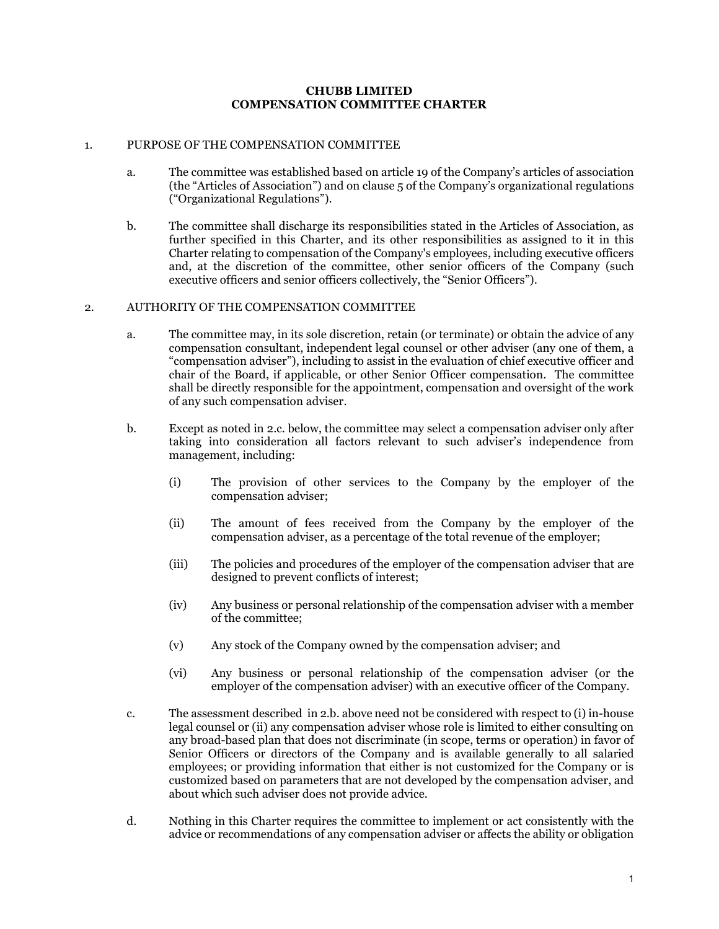# **CHUBB LIMITED COMPENSATION COMMITTEE CHARTER**

# 1. PURPOSE OF THE COMPENSATION COMMITTEE

- a. The committee was established based on article 19 of the Company's articles of association (the "Articles of Association") and on clause 5 of the Company's organizational regulations ("Organizational Regulations").
- b. The committee shall discharge its responsibilities stated in the Articles of Association, as further specified in this Charter, and its other responsibilities as assigned to it in this Charter relating to compensation of the Company's employees, including executive officers and, at the discretion of the committee, other senior officers of the Company (such executive officers and senior officers collectively, the "Senior Officers").

#### 2. AUTHORITY OF THE COMPENSATION COMMITTEE

- a. The committee may, in its sole discretion, retain (or terminate) or obtain the advice of any compensation consultant, independent legal counsel or other adviser (any one of them, a "compensation adviser"), including to assist in the evaluation of chief executive officer and chair of the Board, if applicable, or other Senior Officer compensation. The committee shall be directly responsible for the appointment, compensation and oversight of the work of any such compensation adviser.
- b. Except as noted in 2.c. below, the committee may select a compensation adviser only after taking into consideration all factors relevant to such adviser's independence from management, including:
	- (i) The provision of other services to the Company by the employer of the compensation adviser;
	- (ii) The amount of fees received from the Company by the employer of the compensation adviser, as a percentage of the total revenue of the employer;
	- (iii) The policies and procedures of the employer of the compensation adviser that are designed to prevent conflicts of interest;
	- (iv) Any business or personal relationship of the compensation adviser with a member of the committee;
	- (v) Any stock of the Company owned by the compensation adviser; and
	- (vi) Any business or personal relationship of the compensation adviser (or the employer of the compensation adviser) with an executive officer of the Company.
- c. The assessment described in 2.b. above need not be considered with respect to (i) in-house legal counsel or (ii) any compensation adviser whose role is limited to either consulting on any broad-based plan that does not discriminate (in scope, terms or operation) in favor of Senior Officers or directors of the Company and is available generally to all salaried employees; or providing information that either is not customized for the Company or is customized based on parameters that are not developed by the compensation adviser, and about which such adviser does not provide advice.
- d. Nothing in this Charter requires the committee to implement or act consistently with the advice or recommendations of any compensation adviser or affects the ability or obligation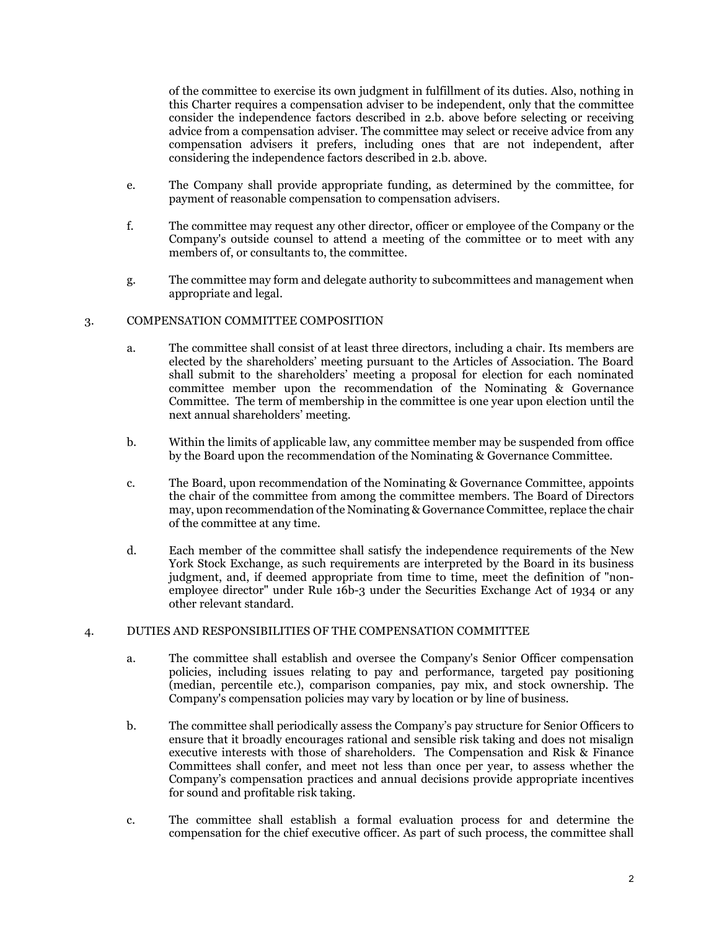of the committee to exercise its own judgment in fulfillment of its duties. Also, nothing in this Charter requires a compensation adviser to be independent, only that the committee consider the independence factors described in 2.b. above before selecting or receiving advice from a compensation adviser. The committee may select or receive advice from any compensation advisers it prefers, including ones that are not independent, after considering the independence factors described in 2.b. above.

- e. The Company shall provide appropriate funding, as determined by the committee, for payment of reasonable compensation to compensation advisers.
- f. The committee may request any other director, officer or employee of the Company or the Company's outside counsel to attend a meeting of the committee or to meet with any members of, or consultants to, the committee.
- g. The committee may form and delegate authority to subcommittees and management when appropriate and legal.

# 3. COMPENSATION COMMITTEE COMPOSITION

- a. The committee shall consist of at least three directors, including a chair. Its members are elected by the shareholders' meeting pursuant to the Articles of Association. The Board shall submit to the shareholders' meeting a proposal for election for each nominated committee member upon the recommendation of the Nominating & Governance Committee. The term of membership in the committee is one year upon election until the next annual shareholders' meeting.
- b. Within the limits of applicable law, any committee member may be suspended from office by the Board upon the recommendation of the Nominating & Governance Committee.
- c. The Board, upon recommendation of the Nominating & Governance Committee, appoints the chair of the committee from among the committee members. The Board of Directors may, upon recommendation of the Nominating & Governance Committee, replace the chair of the committee at any time.
- d. Each member of the committee shall satisfy the independence requirements of the New York Stock Exchange, as such requirements are interpreted by the Board in its business judgment, and, if deemed appropriate from time to time, meet the definition of "nonemployee director" under Rule 16b-3 under the Securities Exchange Act of 1934 or any other relevant standard.

# 4. DUTIES AND RESPONSIBILITIES OF THE COMPENSATION COMMITTEE

- a. The committee shall establish and oversee the Company's Senior Officer compensation policies, including issues relating to pay and performance, targeted pay positioning (median, percentile etc.), comparison companies, pay mix, and stock ownership. The Company's compensation policies may vary by location or by line of business.
- b. The committee shall periodically assess the Company's pay structure for Senior Officers to ensure that it broadly encourages rational and sensible risk taking and does not misalign executive interests with those of shareholders. The Compensation and Risk & Finance Committees shall confer, and meet not less than once per year, to assess whether the Company's compensation practices and annual decisions provide appropriate incentives for sound and profitable risk taking.
- c. The committee shall establish a formal evaluation process for and determine the compensation for the chief executive officer. As part of such process, the committee shall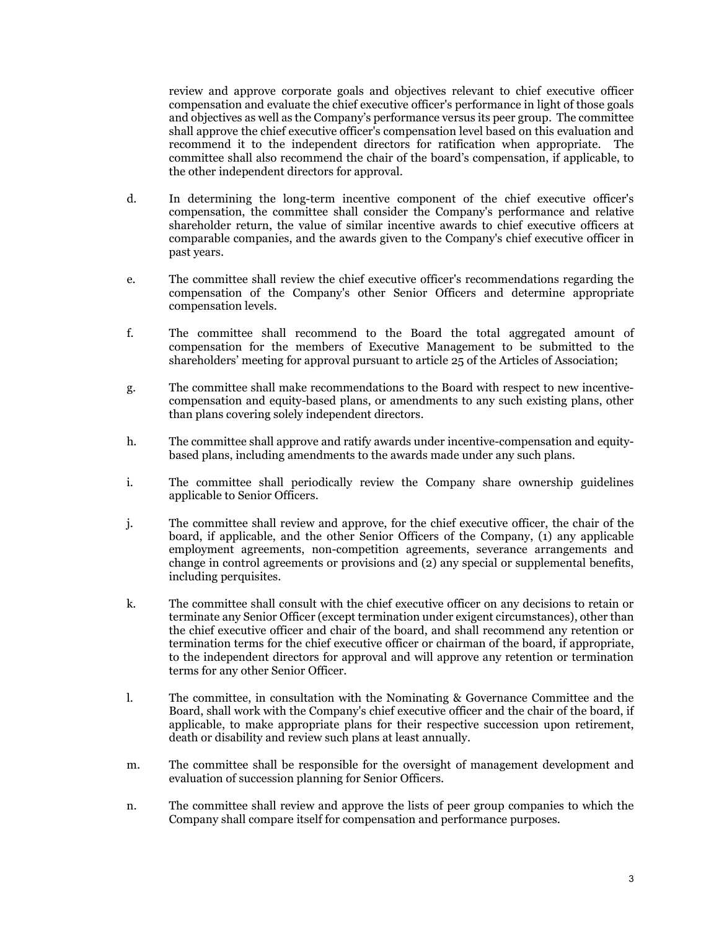review and approve corporate goals and objectives relevant to chief executive officer compensation and evaluate the chief executive officer's performance in light of those goals and objectives as well as the Company's performance versus its peer group. The committee shall approve the chief executive officer's compensation level based on this evaluation and recommend it to the independent directors for ratification when appropriate. The committee shall also recommend the chair of the board's compensation, if applicable, to the other independent directors for approval.

- d. In determining the long-term incentive component of the chief executive officer's compensation, the committee shall consider the Company's performance and relative shareholder return, the value of similar incentive awards to chief executive officers at comparable companies, and the awards given to the Company's chief executive officer in past years.
- e. The committee shall review the chief executive officer's recommendations regarding the compensation of the Company's other Senior Officers and determine appropriate compensation levels.
- f. The committee shall recommend to the Board the total aggregated amount of compensation for the members of Executive Management to be submitted to the shareholders' meeting for approval pursuant to article 25 of the Articles of Association;
- g. The committee shall make recommendations to the Board with respect to new incentivecompensation and equity-based plans, or amendments to any such existing plans, other than plans covering solely independent directors.
- h. The committee shall approve and ratify awards under incentive-compensation and equitybased plans, including amendments to the awards made under any such plans.
- i. The committee shall periodically review the Company share ownership guidelines applicable to Senior Officers.
- j. The committee shall review and approve, for the chief executive officer, the chair of the board, if applicable, and the other Senior Officers of the Company, (1) any applicable employment agreements, non-competition agreements, severance arrangements and change in control agreements or provisions and (2) any special or supplemental benefits, including perquisites.
- k. The committee shall consult with the chief executive officer on any decisions to retain or terminate any Senior Officer (except termination under exigent circumstances), other than the chief executive officer and chair of the board, and shall recommend any retention or termination terms for the chief executive officer or chairman of the board, if appropriate, to the independent directors for approval and will approve any retention or termination terms for any other Senior Officer.
- l. The committee, in consultation with the Nominating & Governance Committee and the Board, shall work with the Company's chief executive officer and the chair of the board, if applicable, to make appropriate plans for their respective succession upon retirement, death or disability and review such plans at least annually.
- m. The committee shall be responsible for the oversight of management development and evaluation of succession planning for Senior Officers.
- n. The committee shall review and approve the lists of peer group companies to which the Company shall compare itself for compensation and performance purposes.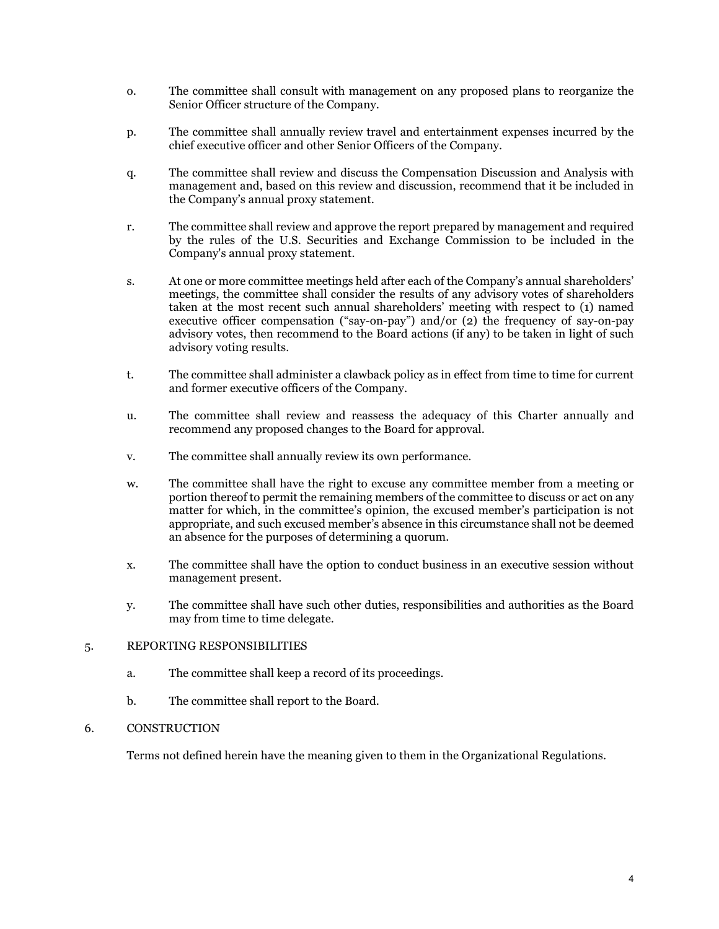- o. The committee shall consult with management on any proposed plans to reorganize the Senior Officer structure of the Company.
- p. The committee shall annually review travel and entertainment expenses incurred by the chief executive officer and other Senior Officers of the Company.
- q. The committee shall review and discuss the Compensation Discussion and Analysis with management and, based on this review and discussion, recommend that it be included in the Company's annual proxy statement.
- r. The committee shall review and approve the report prepared by management and required by the rules of the U.S. Securities and Exchange Commission to be included in the Company's annual proxy statement.
- s. At one or more committee meetings held after each of the Company's annual shareholders' meetings, the committee shall consider the results of any advisory votes of shareholders taken at the most recent such annual shareholders' meeting with respect to (1) named executive officer compensation ("say-on-pay") and/or (2) the frequency of say-on-pay advisory votes, then recommend to the Board actions (if any) to be taken in light of such advisory voting results.
- t. The committee shall administer a clawback policy as in effect from time to time for current and former executive officers of the Company.
- u. The committee shall review and reassess the adequacy of this Charter annually and recommend any proposed changes to the Board for approval.
- v. The committee shall annually review its own performance.
- w. The committee shall have the right to excuse any committee member from a meeting or portion thereof to permit the remaining members of the committee to discuss or act on any matter for which, in the committee's opinion, the excused member's participation is not appropriate, and such excused member's absence in this circumstance shall not be deemed an absence for the purposes of determining a quorum.
- x. The committee shall have the option to conduct business in an executive session without management present.
- y. The committee shall have such other duties, responsibilities and authorities as the Board may from time to time delegate.

# 5. REPORTING RESPONSIBILITIES

- a. The committee shall keep a record of its proceedings.
- b. The committee shall report to the Board.
- 6. CONSTRUCTION

Terms not defined herein have the meaning given to them in the Organizational Regulations.